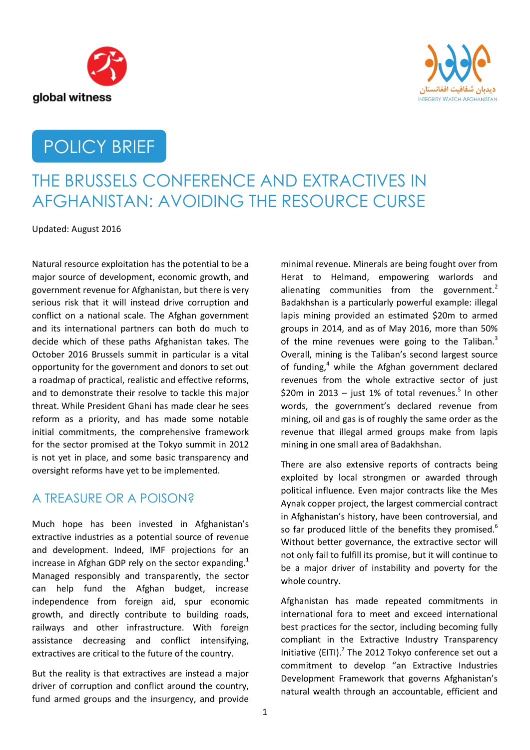



# POLICY BRIEF

# THE BRUSSELS CONFERENCE AND EXTRACTIVES IN AFGHANISTAN: AVOIDING THE RESOURCE CURSE

Updated: August 2016

Natural resource exploitation has the potential to be a major source of development, economic growth, and government revenue for Afghanistan, but there is very serious risk that it will instead drive corruption and conflict on a national scale. The Afghan government and its international partners can both do much to decide which of these paths Afghanistan takes. The October 2016 Brussels summit in particular is a vital opportunity for the government and donors to set out a roadmap of practical, realistic and effective reforms, and to demonstrate their resolve to tackle this major threat. While President Ghani has made clear he sees reform as a priority, and has made some notable initial commitments, the comprehensive framework for the sector promised at the Tokyo summit in 2012 is not yet in place, and some basic transparency and oversight reforms have yet to be implemented.

### A TREASURE OR A POISON?

Much hope has been invested in Afghanistan's extractive industries as a potential source of revenue and development. Indeed, IMF projections for an increase in Afghan GDP rely on the sector expanding.<sup>1</sup> Managed responsibly and transparently, the sector can help fund the Afghan budget, increase independence from foreign aid, spur economic growth, and directly contribute to building roads, railways and other infrastructure. With foreign assistance decreasing and conflict intensifying, extractives are critical to the future of the country.

But the reality is that extractives are instead a major driver of corruption and conflict around the country, fund armed groups and the insurgency, and provide

minimal revenue. Minerals are being fought over from Herat to Helmand, empowering warlords and alienating communities from the government. $2$ Badakhshan is a particularly powerful example: illegal lapis mining provided an estimated \$20m to armed groups in 2014, and as of May 2016, more than 50% of the mine revenues were going to the Taliban. $3$ Overall, mining is the Taliban's second largest source of funding, <sup>4</sup> while the Afghan government declared revenues from the whole extractive sector of just \$20m in 2013 - just 1% of total revenues. $5$  In other words, the government's declared revenue from mining, oil and gas is of roughly the same order as the revenue that illegal armed groups make from lapis mining in one small area of Badakhshan.

There are also extensive reports of contracts being exploited by local strongmen or awarded through political influence. Even major contracts like the Mes Aynak copper project, the largest commercial contract in Afghanistan's history, have been controversial, and so far produced little of the benefits they promised.<sup>6</sup> Without better governance, the extractive sector will not only fail to fulfill its promise, but it will continue to be a major driver of instability and poverty for the whole country.

Afghanistan has made repeated commitments in international fora to meet and exceed international best practices for the sector, including becoming fully compliant in the Extractive Industry Transparency Initiative (EITI). $<sup>7</sup>$  The 2012 Tokyo conference set out a</sup> commitment to develop "an Extractive Industries Development Framework that governs Afghanistan's natural wealth through an accountable, efficient and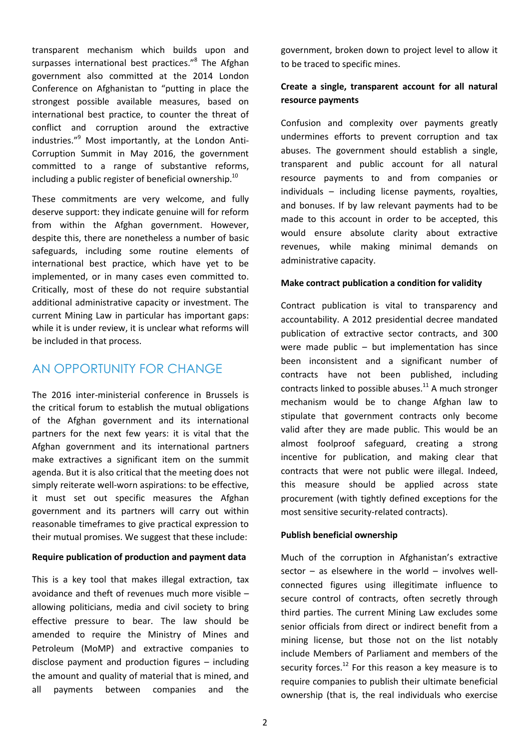transparent mechanism which builds upon and surpasses international best practices."<sup>8</sup> The Afghan government also committed at the 2014 London Conference on Afghanistan to "putting in place the strongest possible available measures, based on international best practice, to counter the threat of conflict and corruption around the extractive industries."<sup>9</sup> Most importantly, at the London Anti-Corruption Summit in May 2016, the government committed to a range of substantive reforms, including a public register of beneficial ownership.<sup>10</sup>

These commitments are very welcome, and fully deserve support: they indicate genuine will for reform from within the Afghan government. However, despite this, there are nonetheless a number of basic safeguards, including some routine elements of international best practice, which have yet to be implemented, or in many cases even committed to. Critically, most of these do not require substantial additional administrative capacity or investment. The current Mining Law in particular has important gaps: while it is under review, it is unclear what reforms will be included in that process.

### AN OPPORTUNITY FOR CHANGE

The 2016 inter-ministerial conference in Brussels is the critical forum to establish the mutual obligations of the Afghan government and its international partners for the next few years: it is vital that the Afghan government and its international partners make extractives a significant item on the summit agenda. But it is also critical that the meeting does not simply reiterate well-worn aspirations: to be effective, it must set out specific measures the Afghan government and its partners will carry out within reasonable timeframes to give practical expression to their mutual promises. We suggest that these include:

#### **Require publication of production and payment data**

This is a key tool that makes illegal extraction, tax avoidance and theft of revenues much more visible – allowing politicians, media and civil society to bring effective pressure to bear. The law should be amended to require the Ministry of Mines and Petroleum (MoMP) and extractive companies to disclose payment and production figures – including the amount and quality of material that is mined, and all payments between companies and the

government, broken down to project level to allow it to be traced to specific mines.

### **Create a single, transparent account for all natural resource payments**

Confusion and complexity over payments greatly undermines efforts to prevent corruption and tax abuses. The government should establish a single, transparent and public account for all natural resource payments to and from companies or individuals – including license payments, royalties, and bonuses. If by law relevant payments had to be made to this account in order to be accepted, this would ensure absolute clarity about extractive revenues, while making minimal demands on administrative capacity.

#### **Make contract publication a condition for validity**

Contract publication is vital to transparency and accountability. A 2012 presidential decree mandated publication of extractive sector contracts, and 300 were made public – but implementation has since been inconsistent and a significant number of contracts have not been published, including contracts linked to possible abuses.<sup>11</sup> A much stronger mechanism would be to change Afghan law to stipulate that government contracts only become valid after they are made public. This would be an almost foolproof safeguard, creating a strong incentive for publication, and making clear that contracts that were not public were illegal. Indeed, this measure should be applied across state procurement (with tightly defined exceptions for the most sensitive security-related contracts).

#### **Publish beneficial ownership**

Much of the corruption in Afghanistan's extractive sector  $-$  as elsewhere in the world  $-$  involves wellconnected figures using illegitimate influence to secure control of contracts, often secretly through third parties. The current Mining Law excludes some senior officials from direct or indirect benefit from a mining license, but those not on the list notably include Members of Parliament and members of the security forces. $^{12}$  For this reason a key measure is to require companies to publish their ultimate beneficial ownership (that is, the real individuals who exercise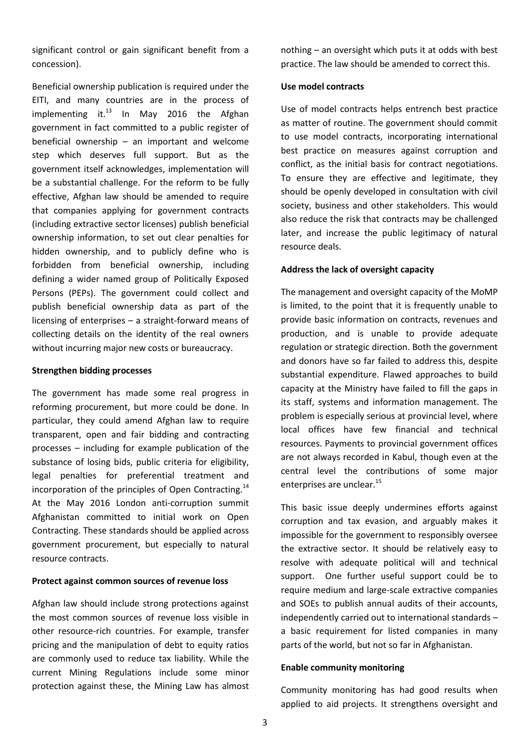significant control or gain significant benefit from a concession).

Beneficial ownership publication is required under the EITI, and many countries are in the process of implementing it. $^{13}$  In May 2016 the Afghan government in fact committed to a public register of beneficial ownership – an important and welcome step which deserves full support. But as the government itself acknowledges, implementation will be a substantial challenge. For the reform to be fully effective, Afghan law should be amended to require that companies applying for government contracts (including extractive sector licenses) publish beneficial ownership information, to set out clear penalties for hidden ownership, and to publicly define who is forbidden from beneficial ownership, including defining a wider named group of Politically Exposed Persons (PEPs). The government could collect and publish beneficial ownership data as part of the licensing of enterprises – a straight-forward means of collecting details on the identity of the real owners without incurring major new costs or bureaucracy.

#### **Strengthen bidding processes**

The government has made some real progress in reforming procurement, but more could be done. In particular, they could amend Afghan law to require transparent, open and fair bidding and contracting processes – including for example publication of the substance of losing bids, public criteria for eligibility, legal penalties for preferential treatment and incorporation of the principles of Open Contracting.<sup>14</sup> At the May 2016 London anti-corruption summit Afghanistan committed to initial work on Open Contracting. These standards should be applied across government procurement, but especially to natural resource contracts.

#### **Protect against common sources of revenue loss**

Afghan law should include strong protections against the most common sources of revenue loss visible in other resource-rich countries. For example, transfer pricing and the manipulation of debt to equity ratios are commonly used to reduce tax liability. While the current Mining Regulations include some minor protection against these, the Mining Law has almost nothing – an oversight which puts it at odds with best practice. The law should be amended to correct this.

#### **Use model contracts**

Use of model contracts helps entrench best practice as matter of routine. The government should commit to use model contracts, incorporating international best practice on measures against corruption and conflict, as the initial basis for contract negotiations. To ensure they are effective and legitimate, they should be openly developed in consultation with civil society, business and other stakeholders. This would also reduce the risk that contracts may be challenged later, and increase the public legitimacy of natural resource deals.

#### **Address the lack of oversight capacity**

The management and oversight capacity of the MoMP is limited, to the point that it is frequently unable to provide basic information on contracts, revenues and production, and is unable to provide adequate regulation or strategic direction. Both the government and donors have so far failed to address this, despite substantial expenditure. Flawed approaches to build capacity at the Ministry have failed to fill the gaps in its staff, systems and information management. The problem is especially serious at provincial level, where local offices have few financial and technical resources. Payments to provincial government offices are not always recorded in Kabul, though even at the central level the contributions of some major enterprises are unclear.<sup>15</sup>

This basic issue deeply undermines efforts against corruption and tax evasion, and arguably makes it impossible for the government to responsibly oversee the extractive sector. It should be relatively easy to resolve with adequate political will and technical support. One further useful support could be to require medium and large-scale extractive companies and SOEs to publish annual audits of their accounts, independently carried out to international standards – a basic requirement for listed companies in many parts of the world, but not so far in Afghanistan.

#### **Enable community monitoring**

Community monitoring has had good results when applied to aid projects. It strengthens oversight and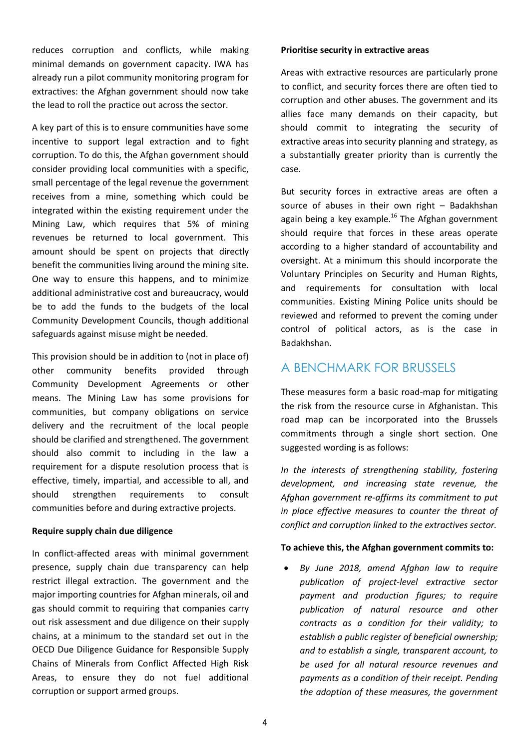reduces corruption and conflicts, while making minimal demands on government capacity. IWA has already run a pilot community monitoring program for extractives: the Afghan government should now take the lead to roll the practice out across the sector.

A key part of this is to ensure communities have some incentive to support legal extraction and to fight corruption. To do this, the Afghan government should consider providing local communities with a specific, small percentage of the legal revenue the government receives from a mine, something which could be integrated within the existing requirement under the Mining Law, which requires that 5% of mining revenues be returned to local government. This amount should be spent on projects that directly benefit the communities living around the mining site. One way to ensure this happens, and to minimize additional administrative cost and bureaucracy, would be to add the funds to the budgets of the local Community Development Councils, though additional safeguards against misuse might be needed.

This provision should be in addition to (not in place of) other community benefits provided through Community Development Agreements or other means. The Mining Law has some provisions for communities, but company obligations on service delivery and the recruitment of the local people should be clarified and strengthened. The government should also commit to including in the law a requirement for a dispute resolution process that is effective, timely, impartial, and accessible to all, and should strengthen requirements to consult communities before and during extractive projects.

#### **Require supply chain due diligence**

In conflict-affected areas with minimal government presence, supply chain due transparency can help restrict illegal extraction. The government and the major importing countries for Afghan minerals, oil and gas should commit to requiring that companies carry out risk assessment and due diligence on their supply chains, at a minimum to the standard set out in the OECD Due Diligence Guidance for Responsible Supply Chains of Minerals from Conflict Affected High Risk Areas, to ensure they do not fuel additional corruption or support armed groups.

#### **Prioritise security in extractive areas**

Areas with extractive resources are particularly prone to conflict, and security forces there are often tied to corruption and other abuses. The government and its allies face many demands on their capacity, but should commit to integrating the security of extractive areas into security planning and strategy, as a substantially greater priority than is currently the case.

But security forces in extractive areas are often a source of abuses in their own right – Badakhshan again being a key example.<sup>16</sup> The Afghan government should require that forces in these areas operate according to a higher standard of accountability and oversight. At a minimum this should incorporate the Voluntary Principles on Security and Human Rights, and requirements for consultation with local communities. Existing Mining Police units should be reviewed and reformed to prevent the coming under control of political actors, as is the case in Badakhshan.

### A BENCHMARK FOR BRUSSELS

These measures form a basic road-map for mitigating the risk from the resource curse in Afghanistan. This road map can be incorporated into the Brussels commitments through a single short section. One suggested wording is as follows:

*In the interests of strengthening stability, fostering development, and increasing state revenue, the Afghan government re‐affirms its commitment to put in place effective measures to counter the threat of conflict and corruption linked to the extractives sector.* 

#### **To achieve this, the Afghan government commits to:**

 *By June 2018, amend Afghan law to require publication of project‐level extractive sector payment and production figures; to require publication of natural resource and other contracts as a condition for their validity; to establish a public register of beneficial ownership; and to establish a single, transparent account, to be used for all natural resource revenues and payments as a condition of their receipt. Pending the adoption of these measures, the government*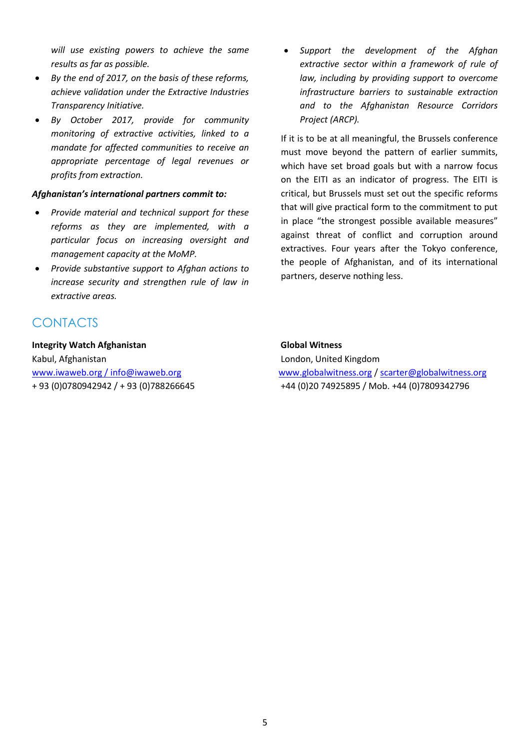*will use existing powers to achieve the same results as far as possible.*

- *By the end of 2017, on the basis of these reforms, achieve validation under the Extractive Industries Transparency Initiative.*
- *By October 2017, provide for community monitoring of extractive activities, linked to a mandate for affected communities to receive an appropriate percentage of legal revenues or profits from extraction.*

#### *Afghanistan's international partners commit to:*

- *Provide material and technical support for these reforms as they are implemented, with a particular focus on increasing oversight and management capacity at the MoMP.*
- *Provide substantive support to Afghan actions to increase security and strengthen rule of law in extractive areas.*

## CONTACTS

#### **Integrity Watch Afghanistan Global Witness**

Kabul, Afghanistan London, United Kingdom

 *Support the development of the Afghan extractive sector within a framework of rule of law, including by providing support to overcome infrastructure barriers to sustainable extraction and to the Afghanistan Resource Corridors Project (ARCP).*

If it is to be at all meaningful, the Brussels conference must move beyond the pattern of earlier summits, which have set broad goals but with a narrow focus on the EITI as an indicator of progress. The EITI is critical, but Brussels must set out the specific reforms that will give practical form to the commitment to put in place "the strongest possible available measures" against threat of conflict and corruption around extractives. Four years after the Tokyo conference, the people of Afghanistan, and of its international partners, deserve nothing less.

[www.iwaweb.org](http://www.iwaweb.org/) / [info@iwaweb.org](mailto:info@iwaweb.org) [www.globalwitness.org](http://www.globalwitness.org/) / [scarter@globalwitness.org](mailto:scarter@globalwitness.org) + 93 (0)0780942942 / + 93 (0)788266645 +44 (0)20 74925895 / Mob. +44 (0)7809342796